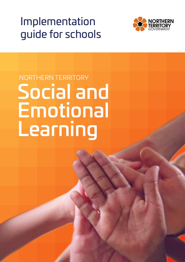## Implementation guide for schools



# NORTHERN TERRITORY Social and Emotional Learning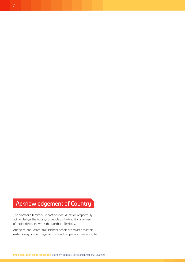## <span id="page-1-0"></span>Acknowledgement of Country

The Northern Territory Department of Education respectfully acknowledges the Aboriginal people as the traditional owners of the land now known as the Northern Territory.

Aboriginal and Torres Strait Islander people are advised that this material may contain images or names of people who have since died.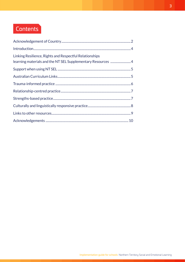## **Contents**

| Linking Resilience, Rights and Respectful Relationships<br>learning materials and the NT SEL Supplementary Resources 4 |  |
|------------------------------------------------------------------------------------------------------------------------|--|
|                                                                                                                        |  |
|                                                                                                                        |  |
|                                                                                                                        |  |
|                                                                                                                        |  |
|                                                                                                                        |  |
|                                                                                                                        |  |
|                                                                                                                        |  |
|                                                                                                                        |  |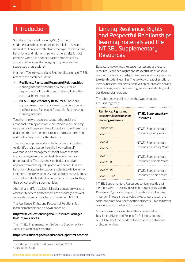## <span id="page-3-0"></span>Introduction

Social and Emotional Learning (SEL) can help students learn the competencies and skills they need to build resilience and effectively manage their emotions, behaviours and relationships with others<sup>1</sup>. SEL is most effective when it is evidence based and is taught by school staff in a way that is age appropriate and has sequenced progressions<sup>2</sup>. .

Northern Territory Social and Emotional Learning (NT SEL) refers to the combined use of:

- **Resilience, Rights and Respectful Relationships**  learning materials produced by the Victorian Department of Education and Training. This is the core teaching resource.
- **NT SEL Supplementary Resources.** These are support resources that are used in conjunction with the Resilience, Rights and Respectful Relationships learning materials.

Together, the two resources support the social and emotional learning of senior years, middle years, primary years and early years students. Educators may differentiate and adapt the activities in the resources to suit the school and the learning needs of the students.

The resources provide all students with opportunities to identify and rehearse the skills involved in selfawareness, self-management, social awareness and social management, alongside skills in intercultural understanding. The resources embed a proactive approach to wellbeing, integrated with curriculum and behaviour strategies to support students to thrive in the Northern Territory's uniquely multicultural context. These skills help students to build connections with each other, their school and their communities.

Aboriginal and Torres Strait Islander education workers, assistant teachers and teachers are encouraged to work alongside classroom teachers to implement NT SEL.

The Resilience, Rights and Respectful Relationships learning materials can be downloaded at

## **http://fuse.education.vic.gov.au/ResourcePackage/ ByPin?pin=2JZX4R**

The NT SEL Implementation Guide and Supplementary Resources can be accessed at

#### **https://education.nt.gov.au/education/support-for-teachers**

## Linking Resilience, Rights and Respectful Relationships learning materials and the NT SEL Supplementary Resources

Educators may follow the sequential lessons of the core resource, Resilience, Rights and Respectful Relationships learning materials, and adapt these resources as appropriate to extend student learning. The key topic areas of emotional literacy, personal strengths, positive coping, problem-solving, stress management, help-seeking, gender and identity, and positive gender relations.

The table below outlines how the two resources are used together.

| <b>Resilience, Rights and</b><br><b>Respectful Relationships</b><br>learning materials | <b>NT SEL Supplementary</b><br><b>Resources</b> |
|----------------------------------------------------------------------------------------|-------------------------------------------------|
| Foundation                                                                             | NT SEL Supplementary                            |
| $level 1-2$                                                                            | Resources, Early Years                          |
| $level 3-4$                                                                            | NT SEL Supplementary                            |
| $level 5-6$                                                                            | Resources, Primary Years                        |
| $level 7-8$                                                                            | NT SEL Supplementary                            |
| $level 9-10$                                                                           | Resources, Middle Years                         |
| $level 9-10$                                                                           | NT SEL Supplementary                            |
| l evel 11-12                                                                           | Resources, Senior Years                         |

NT SEL Supplementary Resources contain a guide that identifies where the activities can be taught alongside the Resilience, Rights and Respectful Relationships learning materials. These can be selected by educators to suit the social and emotional needs of their students. Links to further resources are in the back of this guide.

Schools are encouraged to further contextualise Resilience, Rights and Respectful Relationships and NT SEL to meet the needs of their respective students and communities.

<sup>1</sup> Department of Education and Training, Victoria (2018)

<sup>2</sup> Durlak et al. (2011)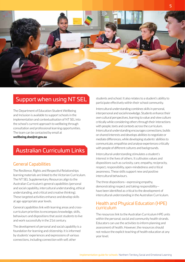<span id="page-4-0"></span>

## Support when using NT SEL

The Department of Education Student Wellbeing and Inclusion is available to support schools in the implementation and contextualisation of NT SEL into the school's current approach to wellbeing through consultation and professional learning opportunities. The team can be contacted by email at **wellbeing.doe@nt.gov.au**

## Australian Curriculum Links

## General Capabilities

The Resilience, Rights and Respectful Relationships learning materials are linked to the Victorian Curriculum. The NT SEL Supplementary Resources align to the Australian Curriculum's general capabilities (personal and social capability, intercultural understanding, ethical understanding, and critical and creative thinking). These targeted activities enhance and develop skills at age-appropriate year levels.

General capabilities link with learning areas and crosscurriculum priorities to encompass knowledge, skills, behaviours and dispositions that assist students to live and work successfully in the 21st century.

The development of personal and social capability is a foundation for learning and citizenship. It is informed by students' experiences and expressions of various connections, including connection with self, other

students and school. It also relates to a student's ability to participate effectively within their school community.

Intercultural understanding combines skills in personal, interpersonal and social knowledge. Students enhance their own cultural perspectives, learning to value and view culture critically while considering others through their interactions with people, texts and contexts across the curriculum. Intercultural understanding encourages connections, builds on shared interests and develops abilities to negotiate or mediate differences, while developing students' abilities to communicate, empathise and analyse experiences critically with people of different cultures and backgrounds.

Intercultural understanding stimulates a student's interest in the lives of others. It cultivates values and dispositions such as curiosity, care, empathy, reciprocity, respect, responsibility, open-mindedness and critical awareness. These skills support new and positive intercultural behaviours.

The three dispositions—expressing empathy, demonstrating respect and taking responsibility have been identified as critical to the development of intercultural understanding in the Australian Curriculum.

## Health and Physical Education (HPE) curriculum

The resources link to the Australian Curriculum HPE units within the personal, social and community health strands. Educators can use the activities to inform planning and assessment of health. However, the resources should not reduce the explicit teaching of health education at any year level.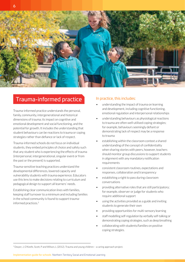<span id="page-5-0"></span>

## Trauma-informed practice

Trauma-informed practice understands the personal, family, community, intergenerational and historical dimensions of trauma; its impact on cognitive and emotional development and social functioning, and the potential for growth. It includes the understanding that student behaviours can be reactions to trauma or coping strategies rather than defiance or lack of respect.

Trauma-informed schools do not focus on individual students, they embed principles of choice and safety such that any student who is experiencing the effects of trauma (interpersonal, intergenerational, singular event or from the past or the present) is supported.

Trauma-sensitive teaching practices understand the developmental differences, lowered capacity and vulnerability students with trauma experience. Educators use this lens to make decisions relating to curriculum and pedagogical design to support all learners' needs.

Establishing clear communication lines with families, keeping staff turnover to a minimum and including families in the school community is found to support traumainformed practices.3

## In practice, this includes:

- understanding the impact of trauma on learning and development, including cognitive functioning, emotional regulation and interpersonal relationships
- understanding behaviours as physiological reactions to trauma are often well-utilised coping strategies; for example, behaviours seemingly defiant or demonstrating lack of respect may be a response to trauma
- establishing within the classroom context a shared understanding of the concept of confidentiality when sharing stories with peers, however, teachers should monitor group discussions to support students in alignment with any mandatory notification requirements
- consistent classroom routines, expectations and responses, collaboration and transparency
- establishing a right to pass during classroom conversations
- providing alternative roles that are still participatory; for example, observer or judge for students who require additional support
- using the activities provided as a guide and inviting students to generate their own
- providing opportunities for multi-sensory learning
- staff modelling self-regulation by verbally self-talking or demonstrating coping strategies, such as deep breathing
- collaborating with students/families on positive coping strategies.

<sup>3</sup> Dwyer, J, O'Keefe, Scott, P and Wilson, L (2012). Trauma and young children – a caring approach project.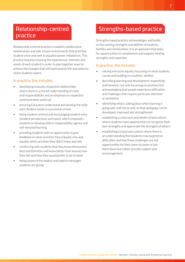## <span id="page-6-0"></span>Relationship-centred practice

Relationship-centred practices establish collaborative relationships and safe school environments that prioritise student voice and seek to equalise power imbalances. This practice requires knowing the experiences, interests and needs of each student in order to plan together ways to achieve the changes that will lead towards the outcomes to which students aspire.

## In practice, this includes:

- developing mutually respectful relationships where there is a shared understanding of roles and responsibilities and an emphasis on respectful communication and trust
- ensuring Educators understand and develop the skills each student needs to succeed at school
- being student centred and encouraging student voice (student perspectives and input), which empowers students to develop skills in responsibility, agency and self-directed learning
- providing students with an opportunity to give feedback on what activities they enjoyed, why and, equally, which activities they didn't enjoy and why
- reinforcing with students that they know themselves best and therefore will know better than anyone how they feel and how they would prefer to be treated
- being aware of the explicit and implicit messages students are giving.

## Strengths-based practice

Strengths-based practice acknowledges and builds on the existing strengths and abilities of students, families and communities. It is an approach that looks for opportunities to complement and support existing strengths and capacities.

## In practice, this includes:

- valuing everyone equally, focussing on what students can do and building on students' abilities
- describing learning and development respectfully and honestly; not only focussing on positives but acknowledging that people experience difficulties and challenges that require particular attention or assistance
- identifying what is taking place when learning is going well, and not so well, so that pedagogy can be developed, improved and strengthened
- establishing a classroom and whole-school culture where students have opportunities to recognise their own strengths and appreciate the strengths of others
- establishing a classroom culture where there is an understanding that students may experience difficulties and that these challenges are not opportunities for their peers to tease or put them down but rather provide support and encouragement.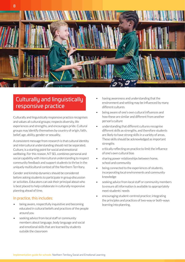<span id="page-7-0"></span>

## Culturally and linguistically responsive practice

Culturally and linguistically responsive practice recognises and values all cultural groups; respects diversity, life experiences and strengths, and encourages pride. Cultural groups may identify themselves by country of origin, faith, belief, age, ability, gender or sexuality.

A consistent message from research is that cultural identity and intercultural understanding should not be separated. Culture, is a starting point for social and emotional wellbeing. For this reason, NT SEL combines personal and social capability with intercultural understanding to respect community feedback and support students to thrive in the uniquely multicultural context of the Northern Territory.

Gender and kinship dynamics should be considered before asking students to participate in group discussion or activities. Educators can ask their principal about who is best placed to help collaborate in culturally responsive planning ahead of time.

## In practice, this includes:

- being aware, respectfully inquisitive and becoming educated in cultural beliefs and practices of the people around you
- seeking advice from local staff or community members about language, body language and social and emotional skills that are learned by students outside the classroom
- having awareness and understanding that the environment and setting may be influenced by many different cultures
- being aware of one's own cultural influences and how these are similar and different from another person's culture
- understanding that different cultures recognise different skills as strengths, and therefore students are likely to have strong skills in a variety of areas. These skills should be acknowledged as important strengths
- critically reflecting on practice to limit the influence of one's own cultural bias
- sharing power relationships between home, school and community
- being connected to the experiences of students, incorporating local environments and community knowledge
- seeking advice from local staff or community members to ensure all information is available to appropriately meet students' needs
- encouraging student-centred practice; integrating the principles and practices of two-way or both-ways learning into planning.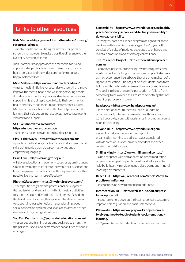## <span id="page-8-0"></span>Links to other resources

## **Kids Matter – [https://www.kidsmatter.edu.au/primary/](https://www.kidsmatter.edu.au/primary/resources-schools) [resources-schools](https://www.kidsmatter.edu.au/primary/resources-schools)**

– mental health and wellbeing framework for primary schools and is proven to make a positive difference to the lives of Australian children.

Kids Matter Primary provides the methods, tools and support to help schools work with parents and carers, health services and the wider community to nurture happy, balanced kids.

#### **Mind Matters –<https://www.mindmatters.edu.au/>**

– mental health initiative for secondary schools that aims to improve the mental health and wellbeing of young people. It is a framework in that it provides structure, guidance and support while enabling schools to build their own mental health strategy to suit their unique circumstances. Mind Matters provides school staff with blended professional learning that includes online resources, face-to-face events, webinars and support.

## **St. Luke's Innovative Resources – <https://innovativeresources.org/>**

– strengths-based conversation building resources.

#### **Play Is The Way® –<https://playistheway.com.au/>**

– practical methodology for teaching social and emotional skills using guided play, classroom activities and an empowering language.

#### **Brain Gym – <https://braingym.org.au/>**

– lifelong educational, movement-based program that uses simple movements to integrate the whole brain, senses and body, preparing the participant with the physical skills they need to live and learn more effectively.

#### **Rhythm2Recovery –<https://rhythm2recovery.com/>**

– therapeutic programs and professional development that utilise fun and engaging rhythmic musical activities to support social and emotional development. Based on the latest neuro-science, this approach has been shown to support increased emotional regulation, improved social connection and reduced levels of anxiety and other elements of psychological distress.

#### **You Can Do It! – <https://youcandoiteducation.com.au/>**

– resources and training programs designed to strengthen the personal, social and performance capabilities of people of all ages.

## **SenseAbility – [https://www.beyondblue.org.au/healthy](https://www.beyondblue.org.au/healthy-places/secondary-schools-and-tertiary/senseability/download-sensibility)[places/secondary-schools-and-tertiary/senseability/](https://www.beyondblue.org.au/healthy-places/secondary-schools-and-tertiary/senseability/download-sensibility) [download-sensibility](https://www.beyondblue.org.au/healthy-places/secondary-schools-and-tertiary/senseability/download-sensibility)**

– strengths-based resilience program designed for those working with young Australians aged 12–18 years. It consists of a suite of modules developed to enhance and maintain emotional and psychological resilience.

#### **The Resilience Project – [https://theresilienceproject.](https://theresilienceproject.com.au) [com.au](https://theresilienceproject.com.au)**

– combines personal storytelling, events, programs, and academic skills coaching to motivate and support students as they experience the setbacks that are a normal part of a rigorous education. The project helps students learn from failure and hope to instil a sense of belonging and bravery. The goal is to help change the perception of failure from something to be avoided at all costs to something that has meaning, purpose and value.

#### **headspace – <https://www.headspace.org.au/>**

– is the National Youth Mental Health Foundation providing early intervention mental health services to 12-25 year olds, along with assistance in promoting young peoples' wellbeing.

#### **Beyond Blue –<https://www.beyondblue.org.au/>**

– is an Australian independent non-profit organisation working to address issues associated with depression, suicide, anxiety disorders and other related mental disorders.

#### **Smiling Mind –<https://www.smilingmind.com.au/>**

– a non for profit web and application based meditation program developed by psychologists and educators to help build healthy minds, engaged classrooms and mindful learning environments.

## **Reach Out – [https://au.reachout.com/articles/how-to](https://au.reachout.com/articles/how-to-practise-mindfulness)[practise-mindfulness](https://au.reachout.com/articles/how-to-practise-mindfulness)**

– instructions on how to practice mindfulness.

#### **Interoception 101 – [http://web.seru.sa.edu.au/pdfs/](http://web.seru.sa.edu.au/pdfs/Introception.pdf) [Introception.pdf](http://web.seru.sa.edu.au/pdfs/Introception.pdf)**

– resource to help develop the internal sensory system to improve self-regulation and social interactions.

## **Playworks – [https://www.playworks.org/resource/](https://www.playworks.org/resource/twelve-games-to-teach-students-social-emotional-learning/) [twelve-games-to-teach-students-social-emotional](https://www.playworks.org/resource/twelve-games-to-teach-students-social-emotional-learning/)[learning/](https://www.playworks.org/resource/twelve-games-to-teach-students-social-emotional-learning/)**

– 12 games to teach students social-emotional learning.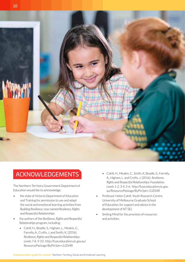<span id="page-9-0"></span>

## ACKNOWLEDGEMENTS

The Northern Territory Government Department of Education would like to acknowledge:

- the state of Victoria Department of Education and Training for permission to use and adapt the social and emotional learning activities from *Building Resilience,* now named *Resilience, Rights and Respectful Relationships*
- the authors of the *Resilience, Rights and Respectful Relationships* program, including:
	- Cahill, H., Beadle, S., Higham, L., Meakin, C., Farrelly, A., Crofts, J. and Smith, K. (2016). *Resilience, Rights and Respectful Relationships: Levels 7-8, 9-10.* http://fuse.education.vic.gov.au/ ResourcePackage/ByPin?pin=2JZX4R
- Cahill, H., Meakin, C., Smith, K, Beadle, S., Farrelly, A., Higham, L. and Crofts, J. (2016). *Resilience, Rights and Respectful Relationships: Foundation, Levels 1-2, 3-4, 5-6.* http://fuse.education.vic.gov. au/ResourcePackage/ByPin?pin=2JZX4R
- Professor Helen Cahill, Youth Research Centre, University of Melbourne Graduate School of Education, for support and advice in the development of NT SEL
- Smiling Mind for the provision of resources and activities.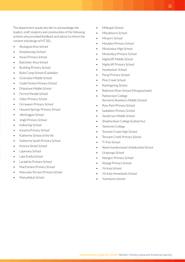The department would also like to acknowledge the leaders, staff, students and communities of the following schools who provided feedback and advice to inform the content and design of NT SEL.

- Alyangula Area School
- Ampilatwatja School
- Anula Primary School
- Batchelor Area School
- Braitling Primary School
- Bulla Camp School (Gudabijin)
- Centralian Middle School
- Clyde Fenton Primary School
- Dripstone Middle School
- Forrest Parade School
- Gillen Primary School
- Girraween Primary School
- Howard Springs Primary School
- Jilkminggan School
- Jingili Primary School
- Kalkaringi School
- Karama Primary School
- Katherine School of the Air
- Katherine South Primary School
- Kintore Street School
- Lajamanu School
- Lake Evella School
- Larapinta Primary School
- MacFarlane Primary School
- Manunda Terrace Primary School
- Manyallaluk School
- Milikapiti School
- Milyakburra School
- Minyerri School
- Moulden Primary School
- Nhulunbuy High School
- Nhulunbuy Primary School
- Nightcliff Middle School
- Nightcliff Primary School
- Numbulwar School
- Parap Primary School
- Pine Creek School
- Ramingining School
- Robinson River School (Mungoorbada)
- Palmerston College (formerly Rosebery Middle School)
- Ross Park Primary School
- Sadadeen Primary School
- Sanderson Middle School
- Shepherdson College (Galiwin'ku)
- Taminmin College
- Tennant Creek High School
- Tennant Creek Primary School
- Ti Tree School
- Alyarrmandumanja Umbakumba School
- Urapunga School
- Wanguri Primary School
- Wulagi Primary School
- Yirrkala School
- Yirrkala Homelands School
- Yuendumu School